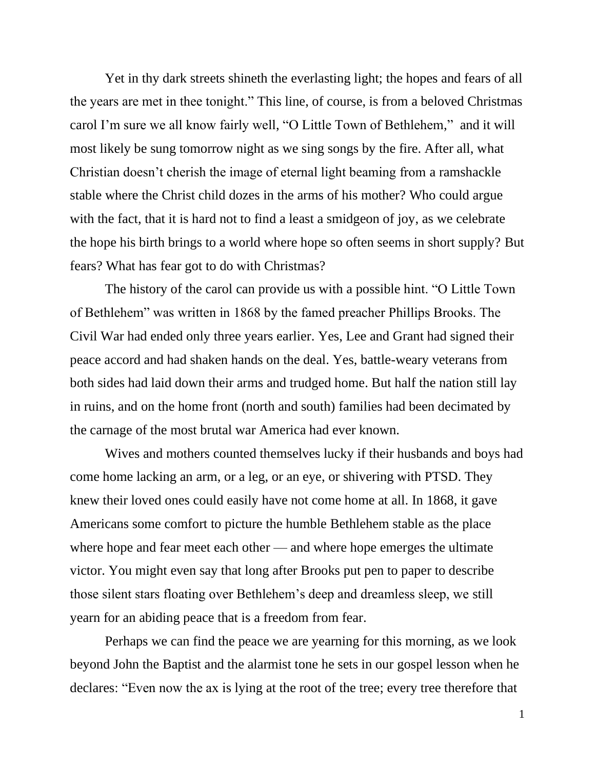Yet in thy dark streets shineth the everlasting light; the hopes and fears of all the years are met in thee tonight." This line, of course, is from a beloved Christmas carol I'm sure we all know fairly well, "O Little Town of Bethlehem," and it will most likely be sung tomorrow night as we sing songs by the fire. After all, what Christian doesn't cherish the image of eternal light beaming from a ramshackle stable where the Christ child dozes in the arms of his mother? Who could argue with the fact, that it is hard not to find a least a smidgeon of joy, as we celebrate the hope his birth brings to a world where hope so often seems in short supply? But fears? What has fear got to do with Christmas?

The history of the carol can provide us with a possible hint. "O Little Town of Bethlehem" was written in 1868 by the famed preacher Phillips Brooks. The Civil War had ended only three years earlier. Yes, Lee and Grant had signed their peace accord and had shaken hands on the deal. Yes, battle-weary veterans from both sides had laid down their arms and trudged home. But half the nation still lay in ruins, and on the home front (north and south) families had been decimated by the carnage of the most brutal war America had ever known.

Wives and mothers counted themselves lucky if their husbands and boys had come home lacking an arm, or a leg, or an eye, or shivering with PTSD. They knew their loved ones could easily have not come home at all. In 1868, it gave Americans some comfort to picture the humble Bethlehem stable as the place where hope and fear meet each other — and where hope emerges the ultimate victor. You might even say that long after Brooks put pen to paper to describe those silent stars floating over Bethlehem's deep and dreamless sleep, we still yearn for an abiding peace that is a freedom from fear.

Perhaps we can find the peace we are yearning for this morning, as we look beyond John the Baptist and the alarmist tone he sets in our gospel lesson when he declares: "Even now the ax is lying at the root of the tree; every tree therefore that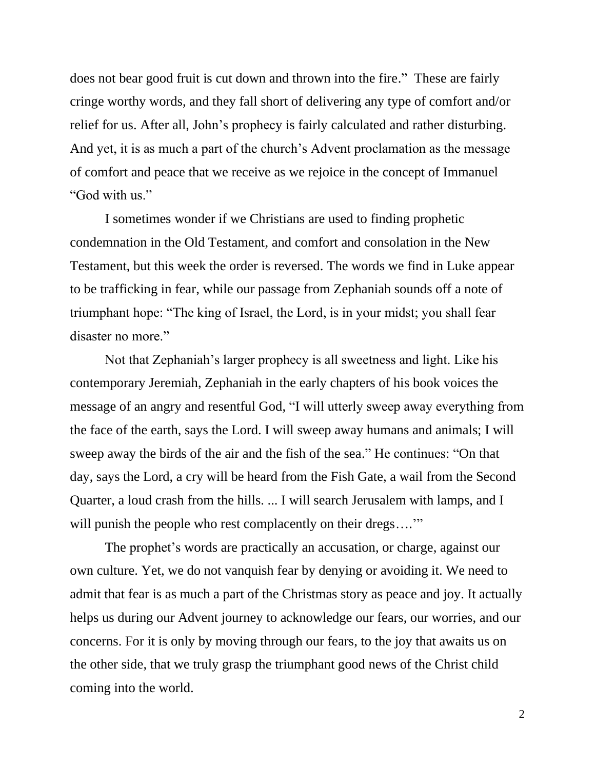does not bear good fruit is cut down and thrown into the fire." These are fairly cringe worthy words, and they fall short of delivering any type of comfort and/or relief for us. After all, John's prophecy is fairly calculated and rather disturbing. And yet, it is as much a part of the church's Advent proclamation as the message of comfort and peace that we receive as we rejoice in the concept of Immanuel "God with us."

I sometimes wonder if we Christians are used to finding prophetic condemnation in the Old Testament, and comfort and consolation in the New Testament, but this week the order is reversed. The words we find in Luke appear to be trafficking in fear, while our passage from Zephaniah sounds off a note of triumphant hope: "The king of Israel, the Lord, is in your midst; you shall fear disaster no more."

Not that Zephaniah's larger prophecy is all sweetness and light. Like his contemporary Jeremiah, Zephaniah in the early chapters of his book voices the message of an angry and resentful God, "I will utterly sweep away everything from the face of the earth, says the Lord. I will sweep away humans and animals; I will sweep away the birds of the air and the fish of the sea." He continues: "On that day, says the Lord, a cry will be heard from the Fish Gate, a wail from the Second Quarter, a loud crash from the hills. ... I will search Jerusalem with lamps, and I will punish the people who rest complacently on their dregs...."

The prophet's words are practically an accusation, or charge, against our own culture. Yet, we do not vanquish fear by denying or avoiding it. We need to admit that fear is as much a part of the Christmas story as peace and joy. It actually helps us during our Advent journey to acknowledge our fears, our worries, and our concerns. For it is only by moving through our fears, to the joy that awaits us on the other side, that we truly grasp the triumphant good news of the Christ child coming into the world.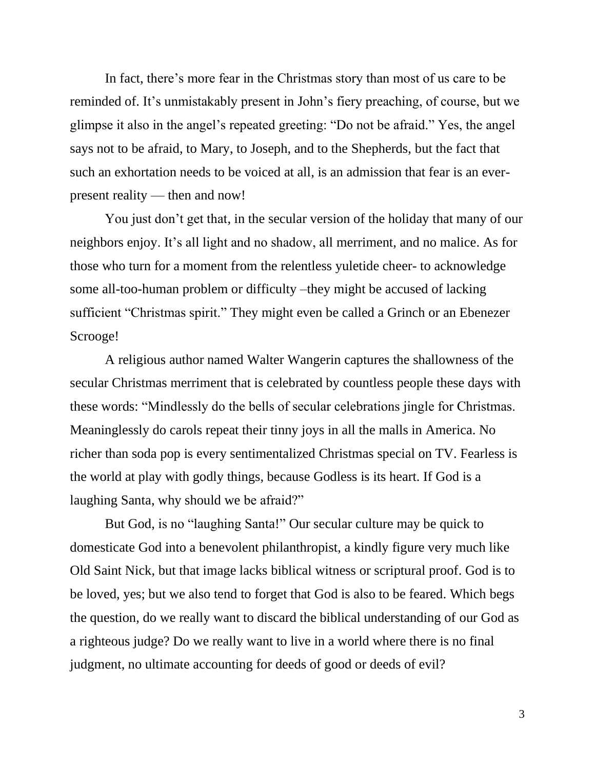In fact, there's more fear in the Christmas story than most of us care to be reminded of. It's unmistakably present in John's fiery preaching, of course, but we glimpse it also in the angel's repeated greeting: "Do not be afraid." Yes, the angel says not to be afraid, to Mary, to Joseph, and to the Shepherds, but the fact that such an exhortation needs to be voiced at all, is an admission that fear is an everpresent reality — then and now!

You just don't get that, in the secular version of the holiday that many of our neighbors enjoy. It's all light and no shadow, all merriment, and no malice. As for those who turn for a moment from the relentless yuletide cheer- to acknowledge some all-too-human problem or difficulty –they might be accused of lacking sufficient "Christmas spirit." They might even be called a Grinch or an Ebenezer Scrooge!

A religious author named Walter Wangerin captures the shallowness of the secular Christmas merriment that is celebrated by countless people these days with these words: "Mindlessly do the bells of secular celebrations jingle for Christmas. Meaninglessly do carols repeat their tinny joys in all the malls in America. No richer than soda pop is every sentimentalized Christmas special on TV. Fearless is the world at play with godly things, because Godless is its heart. If God is a laughing Santa, why should we be afraid?"

But God, is no "laughing Santa!" Our secular culture may be quick to domesticate God into a benevolent philanthropist, a kindly figure very much like Old Saint Nick, but that image lacks biblical witness or scriptural proof. God is to be loved, yes; but we also tend to forget that God is also to be feared. Which begs the question, do we really want to discard the biblical understanding of our God as a righteous judge? Do we really want to live in a world where there is no final judgment, no ultimate accounting for deeds of good or deeds of evil?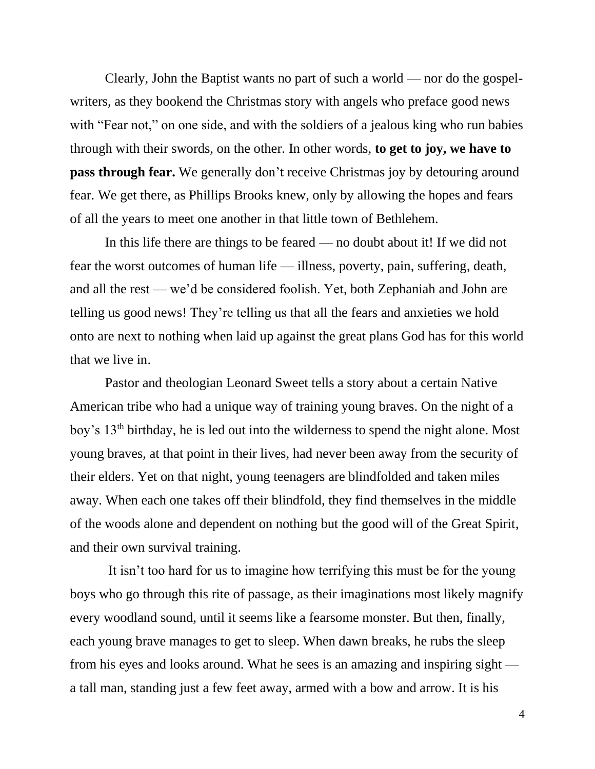Clearly, John the Baptist wants no part of such a world — nor do the gospelwriters, as they bookend the Christmas story with angels who preface good news with "Fear not," on one side, and with the soldiers of a jealous king who run babies through with their swords, on the other. In other words, **to get to joy, we have to pass through fear.** We generally don't receive Christmas joy by detouring around fear. We get there, as Phillips Brooks knew, only by allowing the hopes and fears of all the years to meet one another in that little town of Bethlehem.

In this life there are things to be feared — no doubt about it! If we did not fear the worst outcomes of human life — illness, poverty, pain, suffering, death, and all the rest — we'd be considered foolish. Yet, both Zephaniah and John are telling us good news! They're telling us that all the fears and anxieties we hold onto are next to nothing when laid up against the great plans God has for this world that we live in.

Pastor and theologian Leonard Sweet tells a story about a certain Native American tribe who had a unique way of training young braves. On the night of a boy's 13<sup>th</sup> birthday, he is led out into the wilderness to spend the night alone. Most young braves, at that point in their lives, had never been away from the security of their elders. Yet on that night, young teenagers are blindfolded and taken miles away. When each one takes off their blindfold, they find themselves in the middle of the woods alone and dependent on nothing but the good will of the Great Spirit, and their own survival training.

It isn't too hard for us to imagine how terrifying this must be for the young boys who go through this rite of passage, as their imaginations most likely magnify every woodland sound, until it seems like a fearsome monster. But then, finally, each young brave manages to get to sleep. When dawn breaks, he rubs the sleep from his eyes and looks around. What he sees is an amazing and inspiring sight a tall man, standing just a few feet away, armed with a bow and arrow. It is his